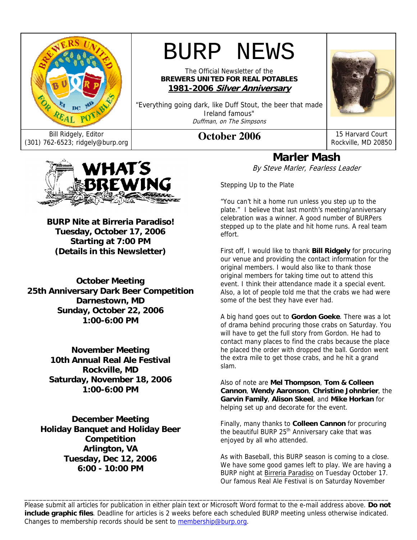

# BURP NEWS

The Official Newsletter of the **BREWERS UNITED FOR REAL POTABLES 1981-2006 Silver Anniversary**

"Everything going dark, like Duff Stout, the beer that made Ireland famous" Duffman, on The Simpsons



Rockville, MD 20850



**BURP Nite at Birreria Paradiso! Tuesday, October 17, 2006 Starting at 7:00 PM (Details in this Newsletter)** 

**October Meeting 25th Anniversary Dark Beer Competition Darnestown, MD Sunday, October 22, 2006 1:00-6:00 PM** 

> **November Meeting 10th Annual Real Ale Festival Rockville, MD Saturday, November 18, 2006 1:00-6:00 PM**

**December Meeting Holiday Banquet and Holiday Beer Competition Arlington, VA Tuesday, Dec 12, 2006 6:00 - 10:00 PM** 

**Marler Mash** 

By Steve Marler, Fearless Leader

Stepping Up to the Plate

"You can't hit a home run unless you step up to the plate." I believe that last month's meeting/anniversary celebration was a winner. A good number of BURPers stepped up to the plate and hit home runs. A real team effort.

First off, I would like to thank **Bill Ridgely** for procuring our venue and providing the contact information for the original members. I would also like to thank those original members for taking time out to attend this event. I think their attendance made it a special event. Also, a lot of people told me that the crabs we had were some of the best they have ever had.

A big hand goes out to **Gordon Goeke**. There was a lot of drama behind procuring those crabs on Saturday. You will have to get the full story from Gordon. He had to contact many places to find the crabs because the place he placed the order with dropped the ball. Gordon went the extra mile to get those crabs, and he hit a grand slam.

Also of note are **Mel Thompson**, **Tom & Colleen Cannon**, **Wendy Aaronson**, **Christine Johnbrier**, the **Garvin Family**, **Alison Skeel**, and **Mike Horkan** for helping set up and decorate for the event.

Finally, many thanks to **Colleen Cannon** for procuring the beautiful BURP 25<sup>th</sup> Anniversary cake that was enjoyed by all who attended.

As with Baseball, this BURP season is coming to a close. We have some good games left to play. We are having a BURP night at Birreria Paradiso on Tuesday October 17. Our famous Real Ale Festival is on Saturday November

Please submit all articles for publication in either plain text or Microsoft Word format to the e-mail address above. **Do not include graphic files**. Deadline for articles is 2 weeks before each scheduled BURP meeting unless otherwise indicated. Changes to membership records should be sent to membership@burp.org.

\_\_\_\_\_\_\_\_\_\_\_\_\_\_\_\_\_\_\_\_\_\_\_\_\_\_\_\_\_\_\_\_\_\_\_\_\_\_\_\_\_\_\_\_\_\_\_\_\_\_\_\_\_\_\_\_\_\_\_\_\_\_\_\_\_\_\_\_\_\_\_\_\_\_\_\_\_\_\_\_\_\_\_\_\_\_\_\_\_\_\_\_\_\_\_\_\_\_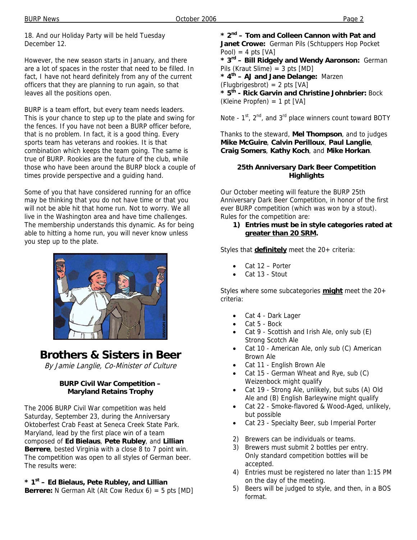18. And our Holiday Party will be held Tuesday December 12.

However, the new season starts in January, and there are a lot of spaces in the roster that need to be filled. In fact, I have not heard definitely from any of the current officers that they are planning to run again, so that leaves all the positions open.

BURP is a team effort, but every team needs leaders. This is your chance to step up to the plate and swing for the fences. If you have not been a BURP officer before, that is no problem. In fact, it is a good thing. Every sports team has veterans and rookies. It is that combination which keeps the team going. The same is true of BURP. Rookies are the future of the club, while those who have been around the BURP block a couple of times provide perspective and a guiding hand.

Some of you that have considered running for an office may be thinking that you do not have time or that you will not be able hit that home run. Not to worry. We all live in the Washington area and have time challenges. The membership understands this dynamic. As for being able to hitting a home run, you will never know unless you step up to the plate.



# **Brothers & Sisters in Beer**

By Jamie Langlie, Co-Minister of Culture

#### **BURP Civil War Competition – Maryland Retains Trophy**

The 2006 BURP Civil War competition was held Saturday, September 23, during the Anniversary Oktoberfest Crab Feast at Seneca Creek State Park. Maryland, lead by the first place win of a team composed of **Ed Bielaus**, **Pete Rubley**, and **Lillian Berrere**, bested Virginia with a close 8 to 7 point win. The competition was open to all styles of German beer. The results were:

### **\* 1st – Ed Bielaus, Pete Rubley, and Lillian**

**Berrere:** N German Alt (Alt Cow Redux 6) = 5 pts [MD]

**\* 2nd – Tom and Colleen Cannon with Pat and Janet Crowe:** German Pils (Schtuppers Hop Pocket Pool) =  $4$  pts [VA] **\* 3rd – Bill Ridgely and Wendy Aaronson:** German

Pils (Kraut Slime) =  $3$  pts [MD]

**\* 4th – AJ and Jane Delange:** Marzen

 $(Flugbrigesbrot) = 2 pts [VA]$ 

**\* 5th - Rick Garvin and Christine Johnbrier:** Bock (Kleine Propfen) =  $1$  pt [VA]

Note -  $1<sup>st</sup>$ ,  $2<sup>nd</sup>$ , and  $3<sup>rd</sup>$  place winners count toward BOTY

Thanks to the steward, **Mel Thompson**, and to judges **Mike McGuire**, **Calvin Perilloux**, **Paul Langlie**, **Craig Somers**, **Kathy Koch**, and **Mike Horkan**.

#### **25th Anniversary Dark Beer Competition Highlights**

Our October meeting will feature the BURP 25th Anniversary Dark Beer Competition, in honor of the first ever BURP competition (which was won by a stout). Rules for the competition are:

#### **1) Entries must be in style categories rated at greater than 20 SRM.**

Styles that **definitely** meet the 20+ criteria:

- Cat 12 Porter
- Cat 13 Stout

Styles where some subcategories **might** meet the 20+ criteria:

- Cat 4 Dark Lager
- Cat 5 Bock
- Cat 9 Scottish and Irish Ale, only sub (E) Strong Scotch Ale
- Cat 10 American Ale, only sub (C) American Brown Ale
- Cat 11 English Brown Ale
- Cat 15 German Wheat and Rye, sub (C) Weizenbock might qualify
- Cat 19 Strong Ale, unlikely, but subs (A) Old Ale and (B) English Barleywine might qualify
- Cat 22 Smoke-flavored & Wood-Aged, unlikely, but possible
- Cat 23 Specialty Beer, sub Imperial Porter
- 2) Brewers can be individuals or teams.
- 3) Brewers must submit 2 bottles per entry. Only standard competition bottles will be accepted.
- 4) Entries must be registered no later than 1:15 PM on the day of the meeting.
- 5) Beers will be judged to style, and then, in a BOS format.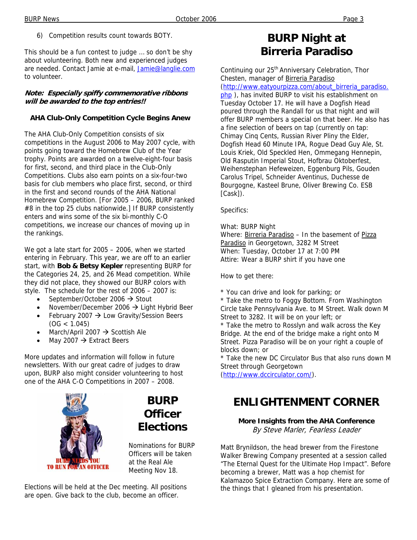6) Competition results count towards BOTY.

This should be a fun contest to judge … so don't be shy about volunteering. Both new and experienced judges are needed. Contact Jamie at e-mail, Jamie@langlie.com to volunteer.

#### **Note: Especially spiffy commemorative ribbons will be awarded to the top entries!!**

#### **AHA Club-Only Competition Cycle Begins Anew**

The AHA Club-Only Competition consists of six competitions in the August 2006 to May 2007 cycle, with points going toward the Homebrew Club of the Year trophy. Points are awarded on a twelve-eight-four basis for first, second, and third place in the Club-Only Competitions. Clubs also earn points on a six-four-two basis for club members who place first, second, or third in the first and second rounds of the AHA National Homebrew Competition. [For 2005 – 2006, BURP ranked #8 in the top 25 clubs nationwide.] If BURP consistently enters and wins some of the six bi-monthly C-O competitions, we increase our chances of moving up in the rankings.

We got a late start for 2005 – 2006, when we started entering in February. This year, we are off to an earlier start, with **Bob & Betsy Kepler** representing BURP for the Categories 24, 25, and 26 Mead competition. While they did not place, they showed our BURP colors with style. The schedule for the rest of 2006 – 2007 is:

- September/October 2006  $\rightarrow$  Stout
- November/December 2006  $\rightarrow$  Light Hybrid Beer
- February 2007  $\rightarrow$  Low Gravity/Session Beers  $(OG < 1.045)$
- March/April 2007  $\rightarrow$  Scottish Ale
- May 2007  $\rightarrow$  Extract Beers

More updates and information will follow in future newsletters. With our great cadre of judges to draw upon, BURP also might consider volunteering to host one of the AHA C-O Competitions in 2007 – 2008.



**Elections**  Nominations for BURP

Meeting Nov 18.

Elections will be held at the Dec meeting. All positions are open. Give back to the club, become an officer.

# **BURP Night at Birreria Paradiso**

Continuing our 25<sup>th</sup> Anniversary Celebration, Thor Chesten, manager of Birreria Paradiso

(http://www.eatyourpizza.com/about\_birreria\_paradiso. php ), has invited BURP to visit his establishment on Tuesday October 17. He will have a Dogfish Head poured through the Randall for us that night and will offer BURP members a special on that beer. He also has a fine selection of beers on tap (currently on tap: Chimay Cinq Cents, Russian River Pliny the Elder, Dogfish Head 60 Minute IPA, Rogue Dead Guy Ale, St. Louis Kriek, Old Speckled Hen, Ommegang Hennepin, Old Rasputin Imperial Stout, Hofbrau Oktoberfest, Weihenstephan Hefeweizen, Eggenburg Pils, Gouden Carolus Tripel, Schneider Aventinus, Duchesse de Bourgogne, Kasteel Brune, Oliver Brewing Co. ESB [Cask]).

Specifics:

What: BURP Night

Where: Birreria Paradiso - In the basement of Pizza Paradiso in Georgetown, 3282 M Street When: Tuesday, October 17 at 7:00 PM Attire: Wear a BURP shirt if you have one

How to get there:

- \* You can drive and look for parking; or
- \* Take the metro to Foggy Bottom. From Washington Circle take Pennsylvania Ave. to M Street. Walk down M Street to 3282. It will be on your left; or

\* Take the metro to Rosslyn and walk across the Key Bridge. At the end of the bridge make a right onto M Street. Pizza Paradiso will be on your right a couple of blocks down; or

\* Take the new DC Circulator Bus that also runs down M Street through Georgetown

(http://www.dccirculator.com/).

# **ENLIGHTENMENT CORNER**

#### **More Insights from the AHA Conference**  By Steve Marler, Fearless Leader

Matt Brynildson, the head brewer from the Firestone Walker Brewing Company presented at a session called "The Eternal Quest for the Ultimate Hop Impact". Before becoming a brewer, Matt was a hop chemist for Kalamazoo Spice Extraction Company. Here are some of the things that I gleaned from his presentation.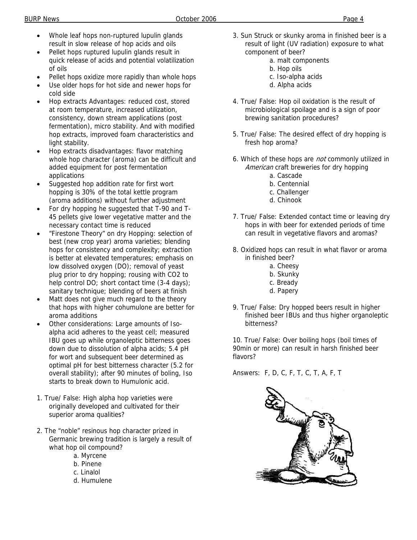- Whole leaf hops non-ruptured lupulin glands result in slow release of hop acids and oils
- Pellet hops ruptured lupulin glands result in quick release of acids and potential volatilization of oils
- Pellet hops oxidize more rapidly than whole hops
- Use older hops for hot side and newer hops for cold side
- Hop extracts Advantages: reduced cost, stored at room temperature, increased utilization, consistency, down stream applications (post fermentation), micro stability. And with modified hop extracts, improved foam characteristics and light stability.
- Hop extracts disadvantages: flavor matching whole hop character (aroma) can be difficult and added equipment for post fermentation applications
- Suggested hop addition rate for first wort hopping is 30% of the total kettle program (aroma additions) without further adjustment
- For dry hopping he suggested that T-90 and T-45 pellets give lower vegetative matter and the necessary contact time is reduced
- "Firestone Theory" on dry Hopping: selection of best (new crop year) aroma varieties; blending hops for consistency and complexity; extraction is better at elevated temperatures; emphasis on low dissolved oxygen (DO); removal of yeast plug prior to dry hopping; rousing with CO2 to help control DO; short contact time (3-4 days); sanitary technique; blending of beers at finish
- Matt does not give much regard to the theory that hops with higher cohumulone are better for aroma additions
- Other considerations: Large amounts of Isoalpha acid adheres to the yeast cell; measured IBU goes up while organoleptic bitterness goes down due to dissolution of alpha acids; 5.4 pH for wort and subsequent beer determined as optimal pH for best bitterness character (5.2 for overall stability); after 90 minutes of boling, Iso starts to break down to Humulonic acid.
- 1. True/ False: High alpha hop varieties were originally developed and cultivated for their superior aroma qualities?
- 2. The "noble" resinous hop character prized in Germanic brewing tradition is largely a result of what hop oil compound?
	- a. Myrcene
	- b. Pinene
	- c. Linalol
	- d. Humulene
- 3. Sun Struck or skunky aroma in finished beer is a result of light (UV radiation) exposure to what component of beer?
	- a. malt components
	- b. Hop oils
	- c. Iso-alpha acids
	- d. Alpha acids
- 4. True/ False: Hop oil oxidation is the result of microbiological spoilage and is a sign of poor brewing sanitation procedures?
- 5. True/ False: The desired effect of dry hopping is fresh hop aroma?
- 6. Which of these hops are not commonly utilized in American craft breweries for dry hopping
	- a. Cascade
	- b. Centennial
	- c. Challenger
	- d. Chinook
- 7. True/ False: Extended contact time or leaving dry hops in with beer for extended periods of time can result in vegetative flavors and aromas?
- 8. Oxidized hops can result in what flavor or aroma in finished beer?
	- a. Cheesy
	- b. Skunky
	- c. Bready
	- d. Papery
- 9. True/ False: Dry hopped beers result in higher finished beer IBUs and thus higher organoleptic bitterness?

10. True/ False: Over boiling hops (boil times of 90min or more) can result in harsh finished beer flavors?

Answers: F, D, C, F, T, C, T, A, F, T

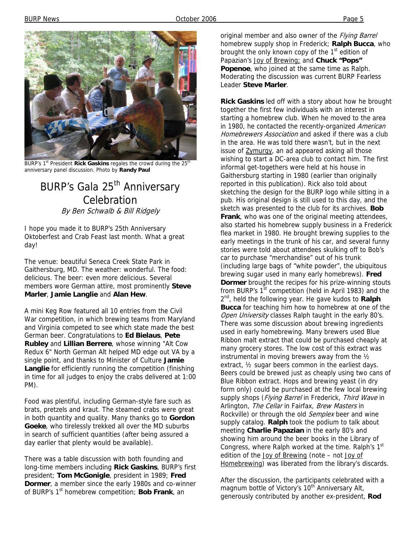

BURP's 1<sup>st</sup> President Rick Gaskins regales the crowd during the 25<sup>th</sup> anniversary panel discussion. Photo by **Randy Paul**

## BURP's Gala 25<sup>th</sup> Anniversary Celebration By Ben Schwalb & Bill Ridgely

I hope you made it to BURP's 25th Anniversary Oktoberfest and Crab Feast last month. What a great day!

The venue: beautiful Seneca Creek State Park in Gaithersburg, MD. The weather: wonderful. The food: delicious. The beer: even more delicious. Several members wore German attire, most prominently **Steve Marler**, **Jamie Langlie** and **Alan Hew**.

A mini Keg Row featured all 10 entries from the Civil War competition, in which brewing teams from Maryland and Virginia competed to see which state made the best German beer. Congratulations to **Ed Bielaus**, **Pete Rubley** and **Lillian Berrere**, whose winning "Alt Cow Redux 6" North German Alt helped MD edge out VA by a single point, and thanks to Minister of Culture **Jamie Langlie** for efficiently running the competition (finishing in time for all judges to enjoy the crabs delivered at 1:00 PM).

Food was plentiful, including German-style fare such as brats, pretzels and kraut. The steamed crabs were great in both quantity and quality. Many thanks go to **Gordon Goeke**, who tirelessly trekked all over the MD suburbs in search of sufficient quantities (after being assured a day earlier that plenty would be available).

There was a table discussion with both founding and long-time members including **Rick Gaskins**, BURP's first president; **Tom McGonigle**, president in 1989; **Fred Dormer**, a member since the early 1980s and co-winner of BURP's 1<sup>st</sup> homebrew competition; **Bob Frank**, an

original member and also owner of the Flying Barrel homebrew supply shop in Frederick; **Ralph Bucca**, who brought the only known copy of the  $1<sup>st</sup>$  edition of Papazian's Joy of Brewing; and **Chuck "Pops" Popenoe**, who joined at the same time as Ralph. Moderating the discussion was current BURP Fearless Leader **Steve Marler**.

**Rick Gaskins** led off with a story about how he brought together the first few individuals with an interest in starting a homebrew club. When he moved to the area in 1980, he contacted the recently-organized American Homebrewers Association and asked if there was a club in the area. He was told there wasn't, but in the next issue of Zymurgy, an ad appeared asking all those wishing to start a DC-area club to contact him. The first informal get-togethers were held at his house in Gaithersburg starting in 1980 (earlier than originally reported in this publication). Rick also told about sketching the design for the BURP logo while sitting in a pub. His original design is still used to this day, and the sketch was presented to the club for its archives. **Bob Frank**, who was one of the original meeting attendees, also started his homebrew supply business in a Frederick flea market in 1980. He brought brewing supplies to the early meetings in the trunk of his car, and several funny stories were told about attendees skulking off to Bob's car to purchase "merchandise" out of his trunk (including large bags of "white powder", the ubiquitous brewing sugar used in many early homebrews). **Fred Dormer** brought the recipes for his prize-winning stouts from BURP's  $1<sup>st</sup>$  competition (held in April 1983) and the 2nd, held the following year. He gave kudos to **Ralph Bucca** for teaching him how to homebrew at one of the Open University classes Ralph taught in the early 80's. There was some discussion about brewing ingredients used in early homebrewing. Many brewers used Blue Ribbon malt extract that could be purchased cheaply at many grocery stores. The low cost of this extract was instrumental in moving brewers away from the ½ extract, ½ sugar beers common in the earliest days. Beers could be brewed just as cheaply using two cans of Blue Ribbon extract. Hops and brewing yeast (in dry form only) could be purchased at the few local brewing supply shops (Flying Barrel in Frederick, Third Wave in Arlington, The Cellar in Fairfax, Brew Masters in Rockville) or through the old Semplex beer and wine supply catalog. **Ralph** took the podium to talk about meeting **Charlie Papazian** in the early 80's and showing him around the beer books in the Library of Congress, where Ralph worked at the time. Ralph's 1<sup>st</sup> edition of the Joy of Brewing (note – not Joy of Homebrewing) was liberated from the library's discards.

After the discussion, the participants celebrated with a magnum bottle of Victory's  $10<sup>th</sup>$  Anniversary Alt, generously contributed by another ex-president, **Rod**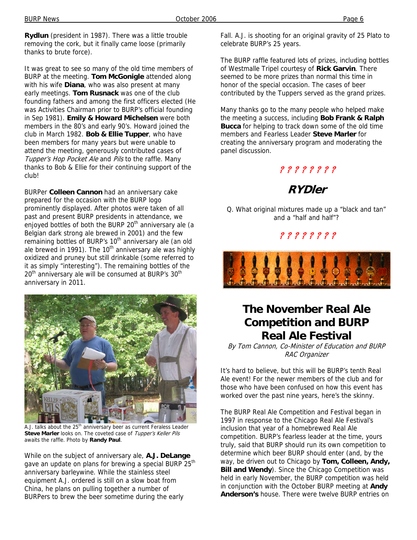**Rydlun** (president in 1987). There was a little trouble removing the cork, but it finally came loose (primarily thanks to brute force).

It was great to see so many of the old time members of BURP at the meeting. **Tom McGonigle** attended along with his wife **Diana**, who was also present at many early meetings. **Tom Rusnack** was one of the club founding fathers and among the first officers elected (He was Activities Chairman prior to BURP's official founding in Sep 1981). **Emily & Howard Michelsen** were both members in the 80's and early 90's. Howard joined the club in March 1982. **Bob & Ellie Tupper**, who have been members for many years but were unable to attend the meeting, generously contributed cases of Tupper's Hop Pocket Ale and Pils to the raffle. Many thanks to Bob & Ellie for their continuing support of the club!

BURPer **Colleen Cannon** had an anniversary cake prepared for the occasion with the BURP logo prominently displayed. After photos were taken of all past and present BURP presidents in attendance, we enjoyed bottles of both the BURP 20<sup>th</sup> anniversary ale (a Belgian dark strong ale brewed in 2001) and the few remaining bottles of BURP's 10<sup>th</sup> anniversary ale (an old ale brewed in 1991). The 10<sup>th</sup> anniversary ale was highly oxidized and pruney but still drinkable (some referred to it as simply "interesting"). The remaining bottles of the 20<sup>th</sup> anniversary ale will be consumed at BURP's 30<sup>th</sup> anniversary in 2011.



A.J. talks about the 25<sup>th</sup> anniversary beer as current Feraless Leader Steve Marler looks on. The coveted case of *Tupper's Keller Pils* awaits the raffle. Photo by **Randy Paul**.

While on the subject of anniversary ale, **A.J. DeLange**  gave an update on plans for brewing a special BURP 25<sup>th</sup> anniversary barleywine. While the stainless steel equipment A.J. ordered is still on a slow boat from China, he plans on pulling together a number of BURPers to brew the beer sometime during the early

Fall. A.J. is shooting for an original gravity of 25 Plato to celebrate BURP's 25 years.

The BURP raffle featured lots of prizes, including bottles of Westmalle Tripel courtesy of **Rick Garvin**. There seemed to be more prizes than normal this time in honor of the special occasion. The cases of beer contributed by the Tuppers served as the grand prizes.

Many thanks go to the many people who helped make the meeting a success, including **Bob Frank & Ralph Bucca** for helping to track down some of the old time members and Fearless Leader **Steve Marler** for creating the anniversary program and moderating the panel discussion.

### ? ? ? ? ? ? ? ?

# **RYDler**

Q. What original mixtures made up a "black and tan" and a "half and half"?

### ? ? ? ? ? ? ? ?



# **The November Real Ale Competition and BURP Real Ale Festival**

By Tom Cannon, Co-Minister of Education and BURP RAC Organizer

It's hard to believe, but this will be BURP's tenth Real Ale event! For the newer members of the club and for those who have been confused on how this event has worked over the past nine years, here's the skinny.

The BURP Real Ale Competition and Festival began in 1997 in response to the Chicago Real Ale Festival's inclusion that year of a homebrewed Real Ale competition. BURP's fearless leader at the time, yours truly, said that BURP should run its own competition to determine which beer BURP should enter (and, by the way, be driven out to Chicago by **Tom, Colleen, Andy, Bill and Wendy**). Since the Chicago Competition was held in early November, the BURP competition was held in conjunction with the October BURP meeting at **Andy Anderson's** house. There were twelve BURP entries on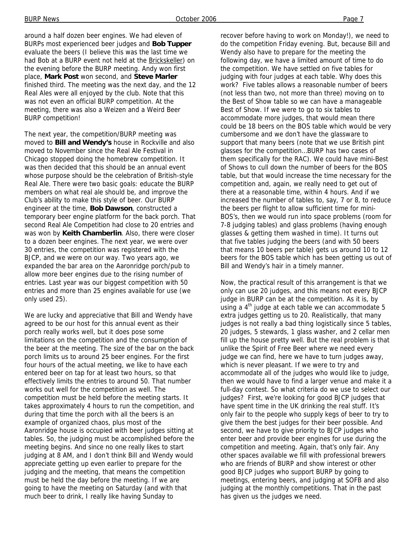BURP competition!

around a half dozen beer engines. We had eleven of BURPs most experienced beer judges and **Bob Tupper** evaluate the beers (I believe this was the last time we had Bob at a BURP event not held at the Brickskeller) on the evening before the BURP meeting. Andy won first place, **Mark Post** won second, and **Steve Marler** finished third. The meeting was the next day, and the 12 Real Ales were all enjoyed by the club. Note that this was not even an official BURP competition. At the meeting, there was also a Weizen and a Weird Beer

The next year, the competition/BURP meeting was moved to **Bill and Wendy's** house in Rockville and also moved to November since the Real Ale Festival in Chicago stopped doing the homebrew competition. It was then decided that this should be an annual event whose purpose should be the celebration of British-style Real Ale. There were two basic goals: educate the BURP members on what real ale should be, and improve the Club's ability to make this style of beer. Our BURP engineer at the time, **Bob Dawson**, constructed a temporary beer engine platform for the back porch. That second Real Ale Competition had close to 20 entries and was won by **Keith Chamberlin**. Also, there were closer to a dozen beer engines. The next year, we were over 30 entries, the competition was registered with the BJCP, and we were on our way. Two years ago, we expanded the bar area on the Aaronridge porch/pub to allow more beer engines due to the rising number of entries. Last year was our biggest competition with 50 entries and more than 25 engines available for use (we only used 25).

We are lucky and appreciative that Bill and Wendy have agreed to be our host for this annual event as their porch really works well, but it does pose some limitations on the competition and the consumption of the beer at the meeting. The size of the bar on the back porch limits us to around 25 beer engines. For the first four hours of the actual meeting, we like to have each entered beer on tap for at least two hours, so that effectively limits the entries to around 50. That number works out well for the competition as well. The competition must be held before the meeting starts. It takes approximately 4 hours to run the competition, and during that time the porch with all the beers is an example of organized chaos, plus most of the Aaronridge house is occupied with beer judges sitting at tables. So, the judging must be accomplished before the meeting begins. And since no one really likes to start judging at 8 AM, and I don't think Bill and Wendy would appreciate getting up even earlier to prepare for the judging and the meeting, that means the competition must be held the day before the meeting. If we are going to have the meeting on Saturday (and with that much beer to drink, I really like having Sunday to

recover before having to work on Monday!), we need to do the competition Friday evening. But, because Bill and Wendy also have to prepare for the meeting the following day, we have a limited amount of time to do the competition. We have settled on five tables for judging with four judges at each table. Why does this work? Five tables allows a reasonable number of beers (not less than two, not more than three) moving on to the Best of Show table so we can have a manageable Best of Show. If we were to go to six tables to accommodate more judges, that would mean there could be 18 beers on the BOS table which would be very cumbersome and we don't have the glassware to support that many beers (note that we use British pint glasses for the competition…BURP has two cases of them specifically for the RAC). We could have mini-Best of Shows to cull down the number of beers for the BOS table, but that would increase the time necessary for the competition and, again, we really need to get out of there at a reasonable time, within 4 hours. And if we increased the number of tables to, say, 7 or 8, to reduce the beers per flight to allow sufficient time for mini-BOS's, then we would run into space problems (room for 7-8 judging tables) and glass problems (having enough glasses & getting them washed in time). It turns out that five tables judging the beers (and with 50 beers that means 10 beers per table) gets us around 10 to 12 beers for the BOS table which has been getting us out of Bill and Wendy's hair in a timely manner.

Now, the practical result of this arrangement is that we only can use 20 judges, and this means not every BJCP judge in BURP can be at the competition. As it is, by using a  $4<sup>th</sup>$  judge at each table we can accommodate 5 extra judges getting us to 20. Realistically, that many judges is not really a bad thing logistically since 5 tables, 20 judges, 5 stewards, 1 glass washer, and 2 cellar men fill up the house pretty well. But the real problem is that unlike the Spirit of Free Beer where we need every judge we can find, here we have to turn judges away, which is never pleasant. If we were to try and accommodate all of the judges who would like to judge, then we would have to find a larger venue and make it a full-day contest. So what criteria do we use to select our judges? First, we're looking for good BJCP judges that have spent time in the UK drinking the real stuff. It's only fair to the people who supply kegs of beer to try to give them the best judges for their beer possible. And second, we have to give priority to BJCP judges who enter beer and provide beer engines for use during the competition and meeting. Again, that's only fair. Any other spaces available we fill with professional brewers who are friends of BURP and show interest or other good BJCP judges who support BURP by going to meetings, entering beers, and judging at SOFB and also judging at the monthly competitions. That in the past has given us the judges we need.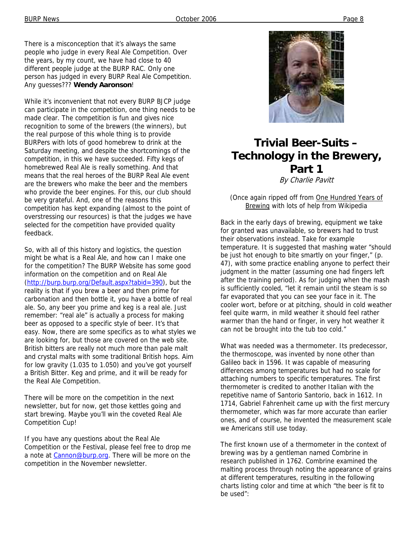There is a misconception that it's always the same people who judge in every Real Ale Competition. Over the years, by my count, we have had close to 40 different people judge at the BURP RAC. Only one person has judged in every BURP Real Ale Competition. Any guesses??? **Wendy Aaronson**!

While it's inconvenient that not every BURP BJCP judge can participate in the competition, one thing needs to be made clear. The competition is fun and gives nice recognition to some of the brewers (the winners), but the real purpose of this whole thing is to provide BURPers with lots of good homebrew to drink at the Saturday meeting, and despite the shortcomings of the competition, in this we have succeeded. Fifty kegs of homebrewed Real Ale is really something. And that means that the real heroes of the BURP Real Ale event are the brewers who make the beer and the members who provide the beer engines. For this, our club should be very grateful. And, one of the reasons this competition has kept expanding (almost to the point of overstressing our resources) is that the judges we have selected for the competition have provided quality feedback.

So, with all of this history and logistics, the question might be what is a Real Ale, and how can I make one for the competition? The BURP Website has some good information on the competition and on Real Ale (http://burp.burp.org/Default.aspx?tabid=390), but the reality is that if you brew a beer and then prime for carbonation and then bottle it, you have a bottle of real ale. So, any beer you prime and keg is a real ale. Just remember: "real ale" is actually a process for making beer as opposed to a specific style of beer. It's that easy. Now, there are some specifics as to what styles we are looking for, but those are covered on the web site. British bitters are really not much more than pale malt and crystal malts with some traditional British hops. Aim for low gravity (1.035 to 1.050) and you've got yourself a British Bitter. Keg and prime, and it will be ready for the Real Ale Competition.

There will be more on the competition in the next newsletter, but for now, get those kettles going and start brewing. Maybe you'll win the coveted Real Ale Competition Cup!

If you have any questions about the Real Ale Competition or the Festival, please feel free to drop me a note at Cannon@burp.org. There will be more on the competition in the November newsletter.



### **Trivial Beer-Suits – Technology in the Brewery, Part 1**

By Charlie Pavitt

(Once again ripped off from One Hundred Years of Brewing with lots of help from Wikipedia

Back in the early days of brewing, equipment we take for granted was unavailable, so brewers had to trust their observations instead. Take for example temperature. It is suggested that mashing water "should be just hot enough to bite smartly on your finger," (p. 47), with some practice enabling anyone to perfect their judgment in the matter (assuming one had fingers left after the training period). As for judging when the mash is sufficiently cooled, "let it remain until the steam is so far evaporated that you can see your face in it. The cooler wort, before or at pitching, should in cold weather feel quite warm, in mild weather it should feel rather warmer than the hand or finger, in very hot weather it can not be brought into the tub too cold."

What was needed was a thermometer. Its predecessor, the thermoscope, was invented by none other than Galileo back in 1596. It was capable of measuring differences among temperatures but had no scale for attaching numbers to specific temperatures. The first thermometer is credited to another Italian with the repetitive name of Santorio Santorio, back in 1612. In 1714, Gabriel Fahrenheit came up with the first mercury thermometer, which was far more accurate than earlier ones, and of course, he invented the measurement scale we Americans still use today.

The first known use of a thermometer in the context of brewing was by a gentleman named Combrine in research published in 1762. Combrine examined the malting process through noting the appearance of grains at different temperatures, resulting in the following charts listing color and time at which "the beer is fit to be used":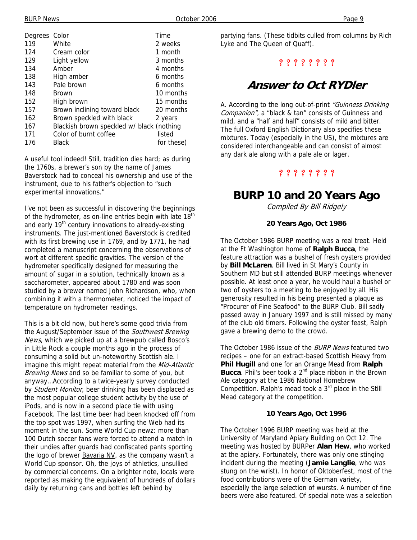| Degrees Color |                                           | Time       |
|---------------|-------------------------------------------|------------|
| 119           | White                                     | 2 weeks    |
| 124           | Cream color                               | 1 month    |
| 129           | Light yellow                              | 3 months   |
| 134           | Amber                                     | 4 months   |
| 138           | High amber                                | 6 months   |
| 143           | Pale brown                                | 6 months   |
| 148           | <b>Brown</b>                              | 10 months  |
| 152           | High brown                                | 15 months  |
| 157           | Brown inclining toward black              | 20 months  |
| 162           | Brown speckled with black                 | 2 years    |
| 167           | Blackish brown speckled w/ black (nothing |            |
| 171           | Color of burnt coffee                     | listed     |
| 176           | Black                                     | for these) |

A useful tool indeed! Still, tradition dies hard; as during the 1760s, a brewer's son by the name of James Baverstock had to conceal his ownership and use of the instrument, due to his father's objection to "such experimental innovations."

I've not been as successful in discovering the beginnings of the hydrometer, as on-line entries begin with late  $18<sup>th</sup>$ and early 19<sup>th</sup> century innovations to already-existing instruments. The just-mentioned Baverstock is credited with its first brewing use in 1769, and by 1771, he had completed a manuscript concerning the observations of wort at different specific gravities. The version of the hydrometer specifically designed for measuring the amount of sugar in a solution, technically known as a saccharometer, appeared about 1780 and was soon studied by a brewer named John Richardson, who, when combining it with a thermometer, noticed the impact of temperature on hydrometer readings.

This is a bit old now, but here's some good trivia from the August/September issue of the Southwest Brewing News, which we picked up at a brewpub called Bosco's in Little Rock a couple months ago in the process of consuming a solid but un-noteworthy Scottish ale. I imagine this might repeat material from the Mid-Atlantic Brewing News and so be familiar to some of you, but anyway…According to a twice-yearly survey conducted by *Student Monitor*, beer drinking has been displaced as the most popular college student activity by the use of iPods, and is now in a second place tie with using Facebook. The last time beer had been knocked off from the top spot was 1997, when surfing the Web had its moment in the sun. Some World Cup newz: more than 100 Dutch soccer fans were forced to attend a match in their undies after guards had confiscated pants sporting the logo of brewer **Bavaria NV**, as the company wasn't a World Cup sponsor. Oh, the joys of athletics, unsullied by commercial concerns. On a brighter note, locals were reported as making the equivalent of hundreds of dollars daily by returning cans and bottles left behind by

partying fans. (These tidbits culled from columns by Rich Lyke and The Queen of Quaff).

#### ? ? ? ? ? ? ? ?

## **Answer to Oct RYDler**

A. According to the long out-of-print "Guinness Drinking Companion", a "black & tan" consists of Guinness and mild, and a "half and half" consists of mild and bitter. The full Oxford English Dictionary also specifies these mixtures. Today (especially in the US), the mixtures are considered interchangeable and can consist of almost any dark ale along with a pale ale or lager.

#### ? ? ? ? ? ? ? ?

### **BURP 10 and 20 Years Ago**

Compiled By Bill Ridgely

#### **20 Years Ago, Oct 1986**

The October 1986 BURP meeting was a real treat. Held at the Ft Washington home of **Ralph Bucca**, the feature attraction was a bushel of fresh oysters provided by **Bill McLaren**. Bill lived in St Mary's County in Southern MD but still attended BURP meetings whenever possible. At least once a year, he would haul a bushel or two of oysters to a meeting to be enjoyed by all. His generosity resulted in his being presented a plaque as "Procurer of Fine Seafood" to the BURP Club. Bill sadly passed away in January 1997 and is still missed by many of the club old timers. Following the oyster feast, Ralph gave a brewing demo to the crowd.

The October 1986 issue of the BURP News featured two recipes – one for an extract-based Scottish Heavy from **Phil Hugill** and one for an Orange Mead from **Ralph Bucca**. Phil's beer took a 2<sup>nd</sup> place ribbon in the Brown Ale category at the 1986 National Homebrew Competition. Ralph's mead took a  $3<sup>rd</sup>$  place in the Still Mead category at the competition.

#### **10 Years Ago, Oct 1996**

The October 1996 BURP meeting was held at the University of Maryland Apiary Building on Oct 12. The meeting was hosted by BURPer **Alan Hew**, who worked at the apiary. Fortunately, there was only one stinging incident during the meeting (**Jamie Langlie**, who was stung on the wrist). In honor of Oktoberfest, most of the food contributions were of the German variety, especially the large selection of wursts. A number of fine beers were also featured. Of special note was a selection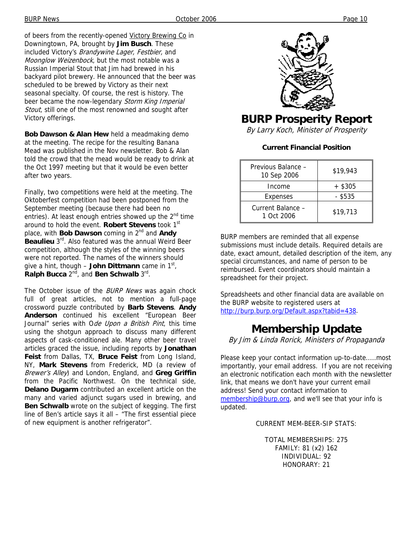of beers from the recently-opened Victory Brewing Co in Downingtown, PA, brought by **Jim Busch**. These included Victory's Brandywine Lager, Festbier, and Moonglow Weizenbock, but the most notable was a Russian Imperial Stout that Jim had brewed in his backyard pilot brewery. He announced that the beer was scheduled to be brewed by Victory as their next seasonal specialty. Of course, the rest is history. The beer became the now-legendary Storm King Imperial Stout, still one of the most renowned and sought after Victory offerings.

**Bob Dawson & Alan Hew** held a meadmaking demo at the meeting. The recipe for the resulting Banana Mead was published in the Nov newsletter. Bob & Alan told the crowd that the mead would be ready to drink at the Oct 1997 meeting but that it would be even better after two years.

Finally, two competitions were held at the meeting. The Oktoberfest competition had been postponed from the September meeting (because there had been no entries). At least enough entries showed up the 2<sup>nd</sup> time around to hold the event. Robert Stevens took 1st place, with **Bob Dawson** coming in 2<sup>nd</sup> and **Andy Beaulieu** 3<sup>rd</sup>. Also featured was the annual Weird Beer competition, although the styles of the winning beers were not reported. The names of the winners should give a hint, though – **John Dittmann** came in 1st, Ralph Bucca 2<sup>nd</sup>, and Ben Schwalb 3<sup>rd</sup>.

The October issue of the **BURP** News was again chock full of great articles, not to mention a full-page crossword puzzle contributed by **Barb Stevens**. **Andy Anderson** continued his excellent "European Beer Journal" series with Ode Upon a British Pint, this time using the shotgun approach to discuss many different aspects of cask-conditioned ale. Many other beer travel articles graced the issue, including reports by **Jonathan Feist** from Dallas, TX, **Bruce Feist** from Long Island, NY, **Mark Stevens** from Frederick, MD (a review of Brewer's Alley) and London, England, and **Greg Griffin** from the Pacific Northwest. On the technical side, **Delano Dugarm** contributed an excellent article on the many and varied adjunct sugars used in brewing, and **Ben Schwalb** wrote on the subject of kegging. The first line of Ben's article says it all – "The first essential piece of new equipment is another refrigerator".



## **BURP Prosperity Report**

By Larry Koch, Minister of Prosperity

#### **Current Financial Position**

| Previous Balance -<br>10 Sep 2006 | \$19,943  |
|-----------------------------------|-----------|
| Income                            | $+$ \$305 |
| Expenses                          | - \$535   |
| Current Balance -<br>1 Oct 2006   | \$19,713  |

BURP members are reminded that all expense submissions must include details. Required details are date, exact amount, detailed description of the item, any special circumstances, and name of person to be reimbursed. Event coordinators should maintain a spreadsheet for their project.

Spreadsheets and other financial data are available on the BURP website to registered users at http://burp.burp.org/Default.aspx?tabid=438.

# **Membership Update**

By Jim & Linda Rorick, Ministers of Propaganda

Please keep your contact information up-to-date.....most importantly, your email address. If you are not receiving an electronic notification each month with the newsletter link, that means we don't have your current email address! Send your contact information to membership@burp.org, and we'll see that your info is updated.

CURRENT MEM-BEER-SIP STATS:

TOTAL MEMBERSHIPS: 275 FAMILY: 81 (x2) 162 INDIVIDUAL: 92 HONORARY: 21